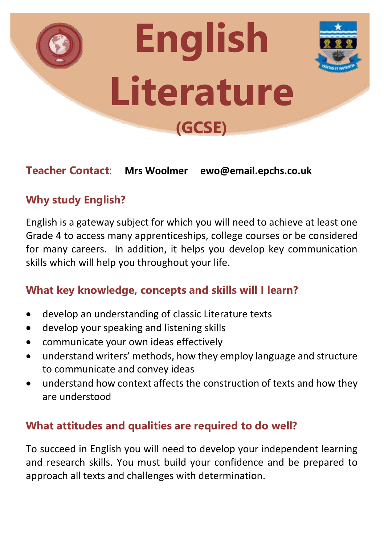

### **Teacher Contact**: **Mrs Woolmer ewo@email.epchs.co.uk**

# **Why study English?**

English is a gateway subject for which you will need to achieve at least one Grade 4 to access many apprenticeships, college courses or be considered for many careers. In addition, it helps you develop key communication skills which will help you throughout your life.

## **What key knowledge, concepts and skills will I learn?**

- develop an understanding of classic Literature texts
- develop your speaking and listening skills
- communicate your own ideas effectively
- understand writers' methods, how they employ language and structure to communicate and convey ideas
- understand how context affects the construction of texts and how they are understood

### **What attitudes and qualities are required to do well?**

To succeed in English you will need to develop your independent learning and research skills. You must build your confidence and be prepared to approach all texts and challenges with determination.